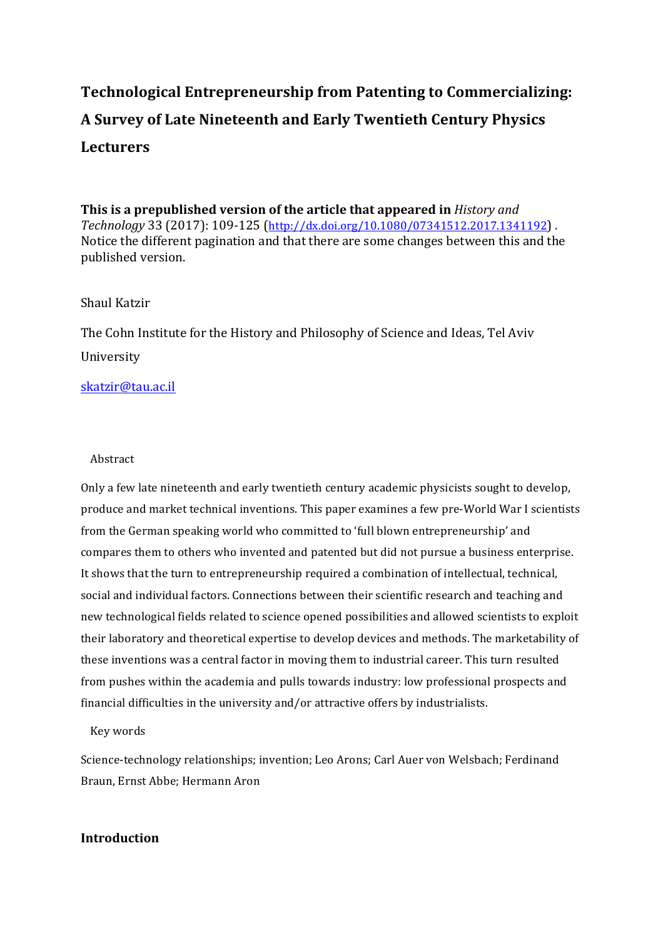# **Technological Entrepreneurship from Patenting to Commercializing: A Survey of Late Nineteenth and Early Twentieth Century Physics Lecturers**

This is a prepublished version of the article that appeared in *History* and *Technology* 33 (2017): 109-125 (http://dx.doi.org/10.1080/07341512.2017.1341192) . Notice the different pagination and that there are some changes between this and the published version.

# Shaul Katzir

The Cohn Institute for the History and Philosophy of Science and Ideas, Tel Aviv University

### skatzir@tau.ac.il

#### Abstract

Only a few late nineteenth and early twentieth century academic physicists sought to develop, produce and market technical inventions. This paper examines a few pre-World War I scientists from the German speaking world who committed to 'full blown entrepreneurship' and compares them to others who invented and patented but did not pursue a business enterprise. It shows that the turn to entrepreneurship required a combination of intellectual, technical, social and individual factors. Connections between their scientific research and teaching and new technological fields related to science opened possibilities and allowed scientists to exploit their laboratory and theoretical expertise to develop devices and methods. The marketability of these inventions was a central factor in moving them to industrial career. This turn resulted from pushes within the academia and pulls towards industry: low professional prospects and financial difficulties in the university and/or attractive offers by industrialists.

#### Key words

Science-technology relationships; invention; Leo Arons; Carl Auer von Welsbach; Ferdinand Braun, Ernst Abbe; Hermann Aron

### **Introduction**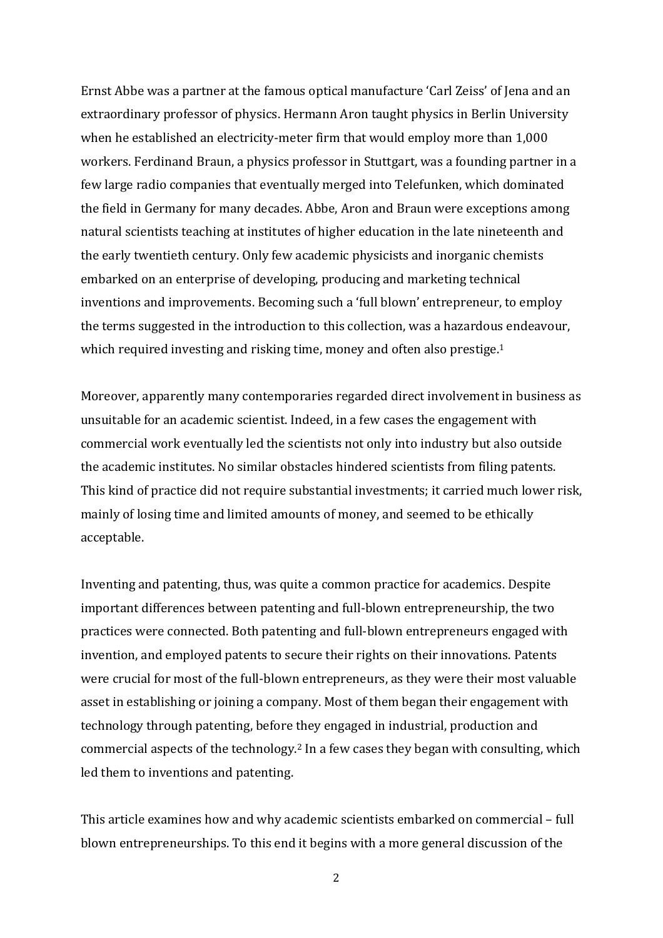Ernst Abbe was a partner at the famous optical manufacture 'Carl Zeiss' of Jena and an extraordinary professor of physics. Hermann Aron taught physics in Berlin University when he established an electricity-meter firm that would employ more than 1,000 workers. Ferdinand Braun, a physics professor in Stuttgart, was a founding partner in a few large radio companies that eventually merged into Telefunken, which dominated the field in Germany for many decades. Abbe, Aron and Braun were exceptions among natural scientists teaching at institutes of higher education in the late nineteenth and the early twentieth century. Only few academic physicists and inorganic chemists embarked on an enterprise of developing, producing and marketing technical inventions and improvements. Becoming such a 'full blown' entrepreneur, to employ the terms suggested in the introduction to this collection, was a hazardous endeavour, which required investing and risking time, money and often also prestige.<sup>1</sup>

Moreover, apparently many contemporaries regarded direct involvement in business as unsuitable for an academic scientist. Indeed, in a few cases the engagement with commercial work eventually led the scientists not only into industry but also outside the academic institutes. No similar obstacles hindered scientists from filing patents. This kind of practice did not require substantial investments; it carried much lower risk, mainly of losing time and limited amounts of money, and seemed to be ethically acceptable.

Inventing and patenting, thus, was quite a common practice for academics. Despite important differences between patenting and full-blown entrepreneurship, the two practices were connected. Both patenting and full-blown entrepreneurs engaged with invention, and employed patents to secure their rights on their innovations. Patents were crucial for most of the full-blown entrepreneurs, as they were their most valuable asset in establishing or joining a company. Most of them began their engagement with technology through patenting, before they engaged in industrial, production and commercial aspects of the technology.<sup>2</sup> In a few cases they began with consulting, which led them to inventions and patenting.

This article examines how and why academic scientists embarked on commercial - full blown entrepreneurships. To this end it begins with a more general discussion of the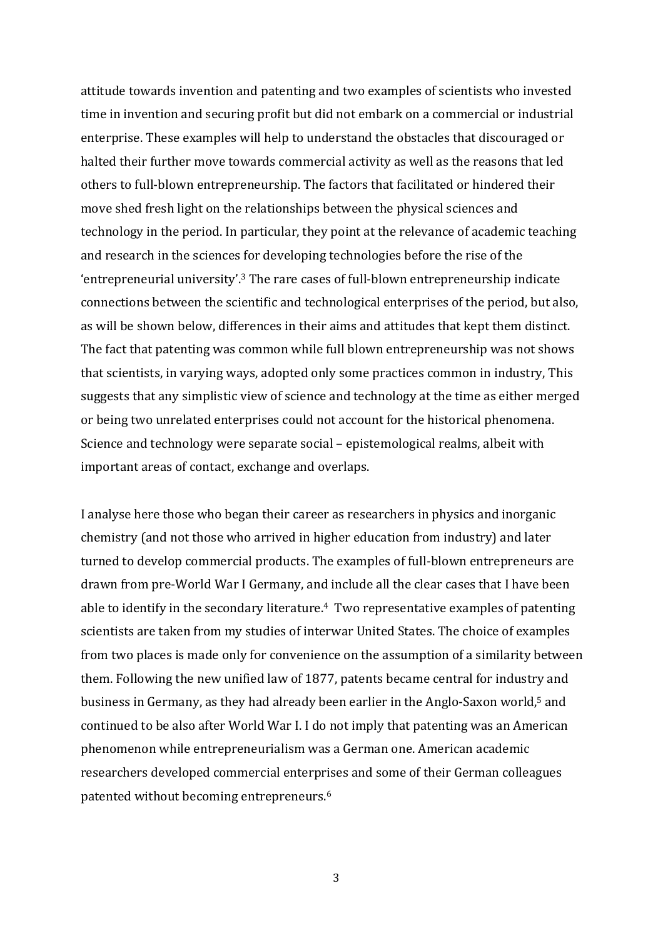attitude towards invention and patenting and two examples of scientists who invested time in invention and securing profit but did not embark on a commercial or industrial enterprise. These examples will help to understand the obstacles that discouraged or halted their further move towards commercial activity as well as the reasons that led others to full-blown entrepreneurship. The factors that facilitated or hindered their move shed fresh light on the relationships between the physical sciences and technology in the period. In particular, they point at the relevance of academic teaching and research in the sciences for developing technologies before the rise of the 'entrepreneurial university'.<sup>3</sup> The rare cases of full-blown entrepreneurship indicate connections between the scientific and technological enterprises of the period, but also, as will be shown below, differences in their aims and attitudes that kept them distinct. The fact that patenting was common while full blown entrepreneurship was not shows that scientists, in varying ways, adopted only some practices common in industry, This suggests that any simplistic view of science and technology at the time as either merged or being two unrelated enterprises could not account for the historical phenomena. Science and technology were separate social – epistemological realms, albeit with important areas of contact, exchange and overlaps.

I analyse here those who began their career as researchers in physics and inorganic chemistry (and not those who arrived in higher education from industry) and later turned to develop commercial products. The examples of full-blown entrepreneurs are drawn from pre-World War I Germany, and include all the clear cases that I have been able to identify in the secondary literature.<sup>4</sup> Two representative examples of patenting scientists are taken from my studies of interwar United States. The choice of examples from two places is made only for convenience on the assumption of a similarity between them. Following the new unified law of 1877, patents became central for industry and business in Germany, as they had already been earlier in the Anglo-Saxon world,<sup>5</sup> and continued to be also after World War I. I do not imply that patenting was an American phenomenon while entrepreneurialism was a German one. American academic researchers developed commercial enterprises and some of their German colleagues patented without becoming entrepreneurs.<sup>6</sup>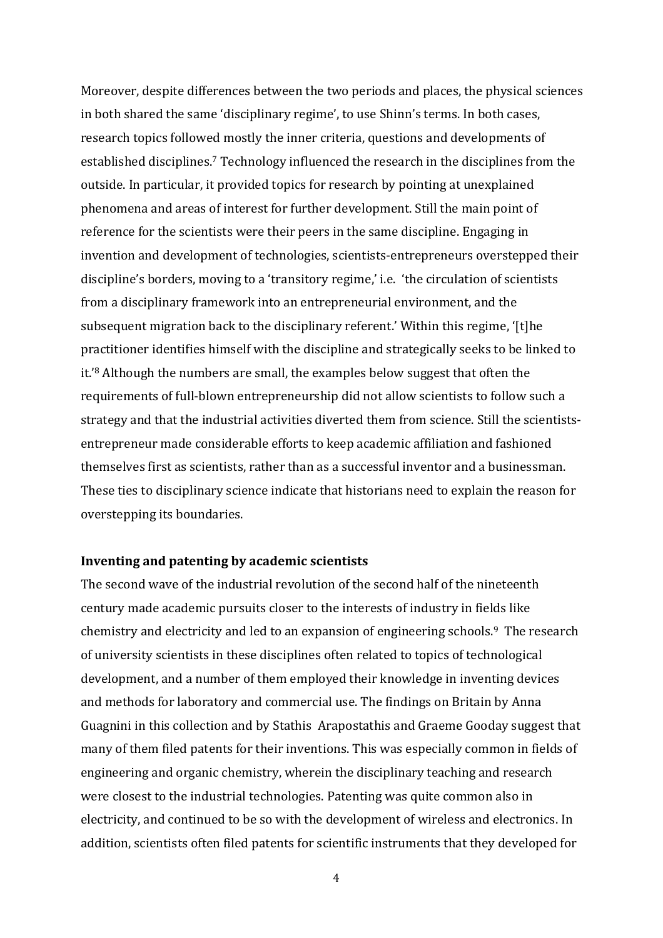Moreover, despite differences between the two periods and places, the physical sciences in both shared the same 'disciplinary regime', to use Shinn's terms. In both cases, research topics followed mostly the inner criteria, questions and developments of established disciplines.<sup>7</sup> Technology influenced the research in the disciplines from the outside. In particular, it provided topics for research by pointing at unexplained phenomena and areas of interest for further development. Still the main point of reference for the scientists were their peers in the same discipline. Engaging in invention and development of technologies, scientists-entrepreneurs overstepped their discipline's borders, moving to a 'transitory regime,' i.e. 'the circulation of scientists from a disciplinary framework into an entrepreneurial environment, and the subsequent migration back to the disciplinary referent.' Within this regime, '[t]he practitioner identifies himself with the discipline and strategically seeks to be linked to it.'<sup>8</sup> Although the numbers are small, the examples below suggest that often the requirements of full-blown entrepreneurship did not allow scientists to follow such a strategy and that the industrial activities diverted them from science. Still the scientistsentrepreneur made considerable efforts to keep academic affiliation and fashioned themselves first as scientists, rather than as a successful inventor and a businessman. These ties to disciplinary science indicate that historians need to explain the reason for overstepping its boundaries.

# **Inventing and patenting by academic scientists**

The second wave of the industrial revolution of the second half of the nineteenth century made academic pursuits closer to the interests of industry in fields like chemistry and electricity and led to an expansion of engineering schools.<sup>9</sup> The research of university scientists in these disciplines often related to topics of technological development, and a number of them employed their knowledge in inventing devices and methods for laboratory and commercial use. The findings on Britain by Anna Guagnini in this collection and by Stathis Arapostathis and Graeme Gooday suggest that many of them filed patents for their inventions. This was especially common in fields of engineering and organic chemistry, wherein the disciplinary teaching and research were closest to the industrial technologies. Patenting was quite common also in electricity, and continued to be so with the development of wireless and electronics. In addition, scientists often filed patents for scientific instruments that they developed for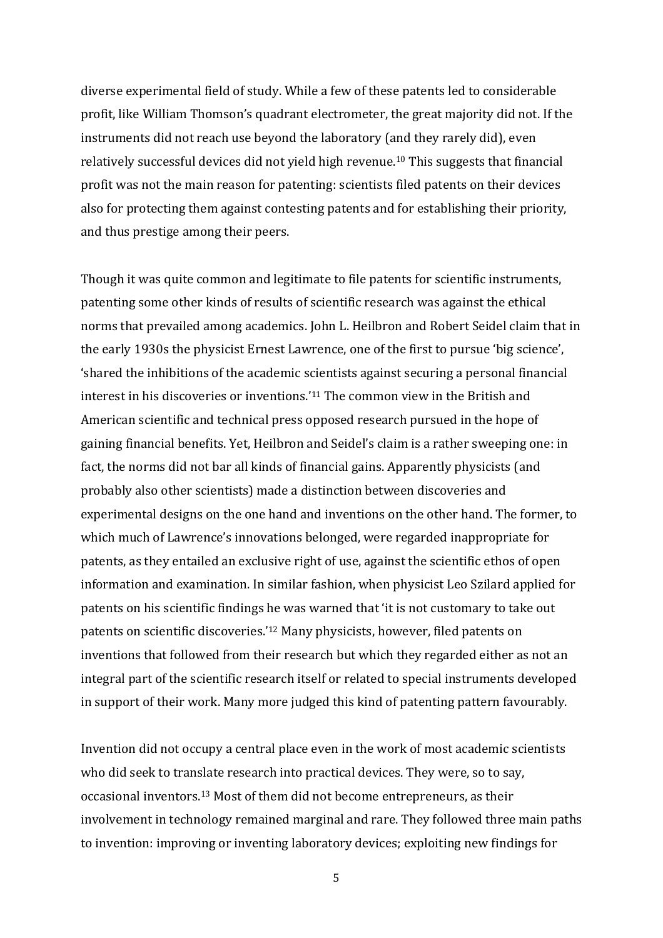diverse experimental field of study. While a few of these patents led to considerable profit, like William Thomson's quadrant electrometer, the great majority did not. If the instruments did not reach use beyond the laboratory (and they rarely did), even relatively successful devices did not yield high revenue.<sup>10</sup> This suggests that financial profit was not the main reason for patenting: scientists filed patents on their devices also for protecting them against contesting patents and for establishing their priority, and thus prestige among their peers.

Though it was quite common and legitimate to file patents for scientific instruments, patenting some other kinds of results of scientific research was against the ethical norms that prevailed among academics. John L. Heilbron and Robert Seidel claim that in the early 1930s the physicist Ernest Lawrence, one of the first to pursue 'big science', 'shared the inhibitions of the academic scientists against securing a personal financial interest in his discoveries or inventions.<sup>'11</sup> The common view in the British and American scientific and technical press opposed research pursued in the hope of gaining financial benefits. Yet, Heilbron and Seidel's claim is a rather sweeping one: in fact, the norms did not bar all kinds of financial gains. Apparently physicists (and probably also other scientists) made a distinction between discoveries and experimental designs on the one hand and inventions on the other hand. The former, to which much of Lawrence's innovations belonged, were regarded inappropriate for patents, as they entailed an exclusive right of use, against the scientific ethos of open information and examination. In similar fashion, when physicist Leo Szilard applied for patents on his scientific findings he was warned that 'it is not customary to take out patents on scientific discoveries.'<sup>12</sup> Many physicists, however, filed patents on inventions that followed from their research but which they regarded either as not an integral part of the scientific research itself or related to special instruments developed in support of their work. Many more judged this kind of patenting pattern favourably.

Invention did not occupy a central place even in the work of most academic scientists who did seek to translate research into practical devices. They were, so to say, occasional inventors.<sup>13</sup> Most of them did not become entrepreneurs, as their involvement in technology remained marginal and rare. They followed three main paths to invention: improving or inventing laboratory devices; exploiting new findings for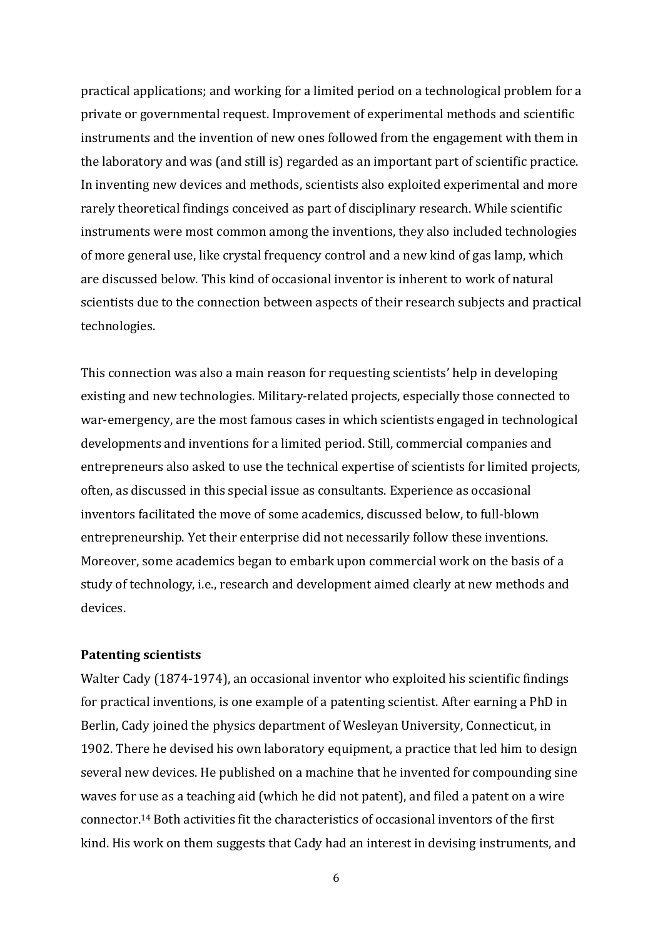practical applications; and working for a limited period on a technological problem for a private or governmental request. Improvement of experimental methods and scientific instruments and the invention of new ones followed from the engagement with them in the laboratory and was (and still is) regarded as an important part of scientific practice. In inventing new devices and methods, scientists also exploited experimental and more rarely theoretical findings conceived as part of disciplinary research. While scientific instruments were most common among the inventions, they also included technologies of more general use, like crystal frequency control and a new kind of gas lamp, which are discussed below. This kind of occasional inventor is inherent to work of natural scientists due to the connection between aspects of their research subjects and practical technologies.

This connection was also a main reason for requesting scientists' help in developing existing and new technologies. Military-related projects, especially those connected to war-emergency, are the most famous cases in which scientists engaged in technological developments and inventions for a limited period. Still, commercial companies and entrepreneurs also asked to use the technical expertise of scientists for limited projects, often, as discussed in this special issue as consultants. Experience as occasional inventors facilitated the move of some academics, discussed below, to full-blown entrepreneurship. Yet their enterprise did not necessarily follow these inventions. Moreover, some academics began to embark upon commercial work on the basis of a study of technology, i.e., research and development aimed clearly at new methods and devices. 

# **Patenting scientists**

Walter Cady (1874-1974), an occasional inventor who exploited his scientific findings for practical inventions, is one example of a patenting scientist. After earning a PhD in Berlin, Cady joined the physics department of Wesleyan University, Connecticut, in 1902. There he devised his own laboratory equipment, a practice that led him to design several new devices. He published on a machine that he invented for compounding sine waves for use as a teaching aid (which he did not patent), and filed a patent on a wire connector.<sup>14</sup> Both activities fit the characteristics of occasional inventors of the first kind. His work on them suggests that Cady had an interest in devising instruments, and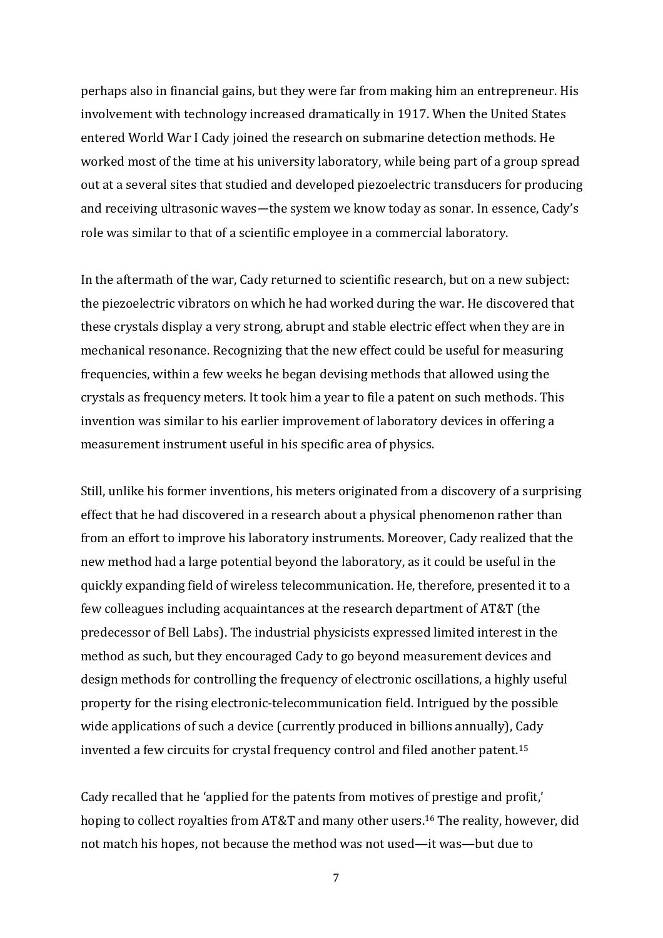perhaps also in financial gains, but they were far from making him an entrepreneur. His involvement with technology increased dramatically in 1917. When the United States entered World War I Cady joined the research on submarine detection methods. He worked most of the time at his university laboratory, while being part of a group spread out at a several sites that studied and developed piezoelectric transducers for producing and receiving ultrasonic waves—the system we know today as sonar. In essence, Cady's role was similar to that of a scientific employee in a commercial laboratory.

In the aftermath of the war, Cady returned to scientific research, but on a new subject: the piezoelectric vibrators on which he had worked during the war. He discovered that these crystals display a very strong, abrupt and stable electric effect when they are in mechanical resonance. Recognizing that the new effect could be useful for measuring frequencies, within a few weeks he began devising methods that allowed using the crystals as frequency meters. It took him a year to file a patent on such methods. This invention was similar to his earlier improvement of laboratory devices in offering a measurement instrument useful in his specific area of physics.

Still, unlike his former inventions, his meters originated from a discovery of a surprising effect that he had discovered in a research about a physical phenomenon rather than from an effort to improve his laboratory instruments. Moreover, Cady realized that the new method had a large potential beyond the laboratory, as it could be useful in the quickly expanding field of wireless telecommunication. He, therefore, presented it to a few colleagues including acquaintances at the research department of AT&T (the predecessor of Bell Labs). The industrial physicists expressed limited interest in the method as such, but they encouraged Cady to go beyond measurement devices and design methods for controlling the frequency of electronic oscillations, a highly useful property for the rising electronic-telecommunication field. Intrigued by the possible wide applications of such a device (currently produced in billions annually), Cady invented a few circuits for crystal frequency control and filed another patent.<sup>15</sup>

Cady recalled that he 'applied for the patents from motives of prestige and profit,' hoping to collect royalties from AT&T and many other users.<sup>16</sup> The reality, however, did not match his hopes, not because the method was not used—it was—but due to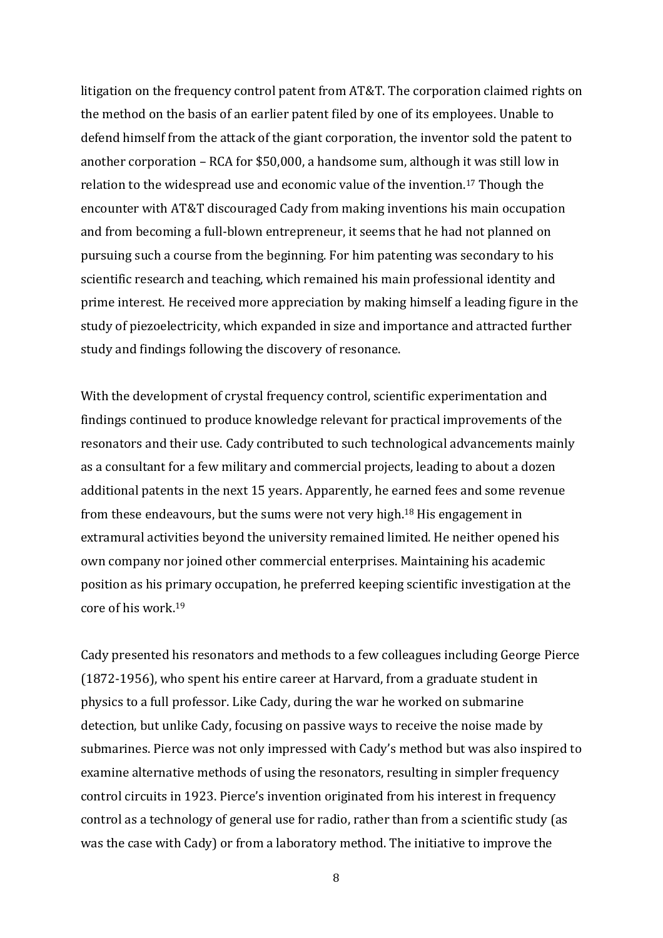litigation on the frequency control patent from AT&T. The corporation claimed rights on the method on the basis of an earlier patent filed by one of its employees. Unable to defend himself from the attack of the giant corporation, the inventor sold the patent to another corporation – RCA for \$50,000, a handsome sum, although it was still low in relation to the widespread use and economic value of the invention.<sup>17</sup> Though the encounter with AT&T discouraged Cady from making inventions his main occupation and from becoming a full-blown entrepreneur, it seems that he had not planned on pursuing such a course from the beginning. For him patenting was secondary to his scientific research and teaching, which remained his main professional identity and prime interest. He received more appreciation by making himself a leading figure in the study of piezoelectricity, which expanded in size and importance and attracted further study and findings following the discovery of resonance.

With the development of crystal frequency control, scientific experimentation and findings continued to produce knowledge relevant for practical improvements of the resonators and their use. Cady contributed to such technological advancements mainly as a consultant for a few military and commercial projects, leading to about a dozen additional patents in the next 15 years. Apparently, he earned fees and some revenue from these endeavours, but the sums were not very high.<sup>18</sup> His engagement in extramural activities beyond the university remained limited. He neither opened his own company nor joined other commercial enterprises. Maintaining his academic position as his primary occupation, he preferred keeping scientific investigation at the core of his work.<sup>19</sup>

Cady presented his resonators and methods to a few colleagues including George Pierce  $(1872-1956)$ , who spent his entire career at Harvard, from a graduate student in physics to a full professor. Like Cady, during the war he worked on submarine detection, but unlike Cady, focusing on passive ways to receive the noise made by submarines. Pierce was not only impressed with Cady's method but was also inspired to examine alternative methods of using the resonators, resulting in simpler frequency control circuits in 1923. Pierce's invention originated from his interest in frequency control as a technology of general use for radio, rather than from a scientific study (as was the case with Cady) or from a laboratory method. The initiative to improve the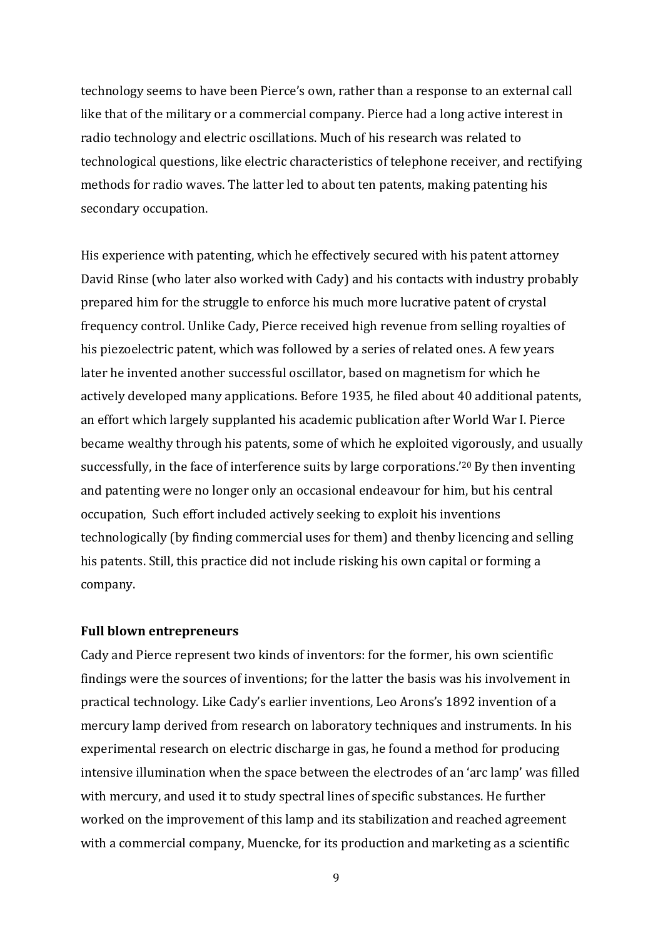technology seems to have been Pierce's own, rather than a response to an external call like that of the military or a commercial company. Pierce had a long active interest in radio technology and electric oscillations. Much of his research was related to technological questions, like electric characteristics of telephone receiver, and rectifying methods for radio waves. The latter led to about ten patents, making patenting his secondary occupation.

His experience with patenting, which he effectively secured with his patent attorney David Rinse (who later also worked with Cady) and his contacts with industry probably prepared him for the struggle to enforce his much more lucrative patent of crystal frequency control. Unlike Cady, Pierce received high revenue from selling royalties of his piezoelectric patent, which was followed by a series of related ones. A few years later he invented another successful oscillator, based on magnetism for which he actively developed many applications. Before 1935, he filed about 40 additional patents, an effort which largely supplanted his academic publication after World War I. Pierce became wealthy through his patents, some of which he exploited vigorously, and usually successfully, in the face of interference suits by large corporations.<sup>'20</sup> By then inventing and patenting were no longer only an occasional endeavour for him, but his central occupation, Such effort included actively seeking to exploit his inventions technologically (by finding commercial uses for them) and thenby licencing and selling his patents. Still, this practice did not include risking his own capital or forming a company.

### **Full blown entrepreneurs**

Cady and Pierce represent two kinds of inventors: for the former, his own scientific findings were the sources of inventions; for the latter the basis was his involvement in practical technology. Like Cady's earlier inventions, Leo Arons's 1892 invention of a mercury lamp derived from research on laboratory techniques and instruments. In his experimental research on electric discharge in gas, he found a method for producing intensive illumination when the space between the electrodes of an 'arc lamp' was filled with mercury, and used it to study spectral lines of specific substances. He further worked on the improvement of this lamp and its stabilization and reached agreement with a commercial company, Muencke, for its production and marketing as a scientific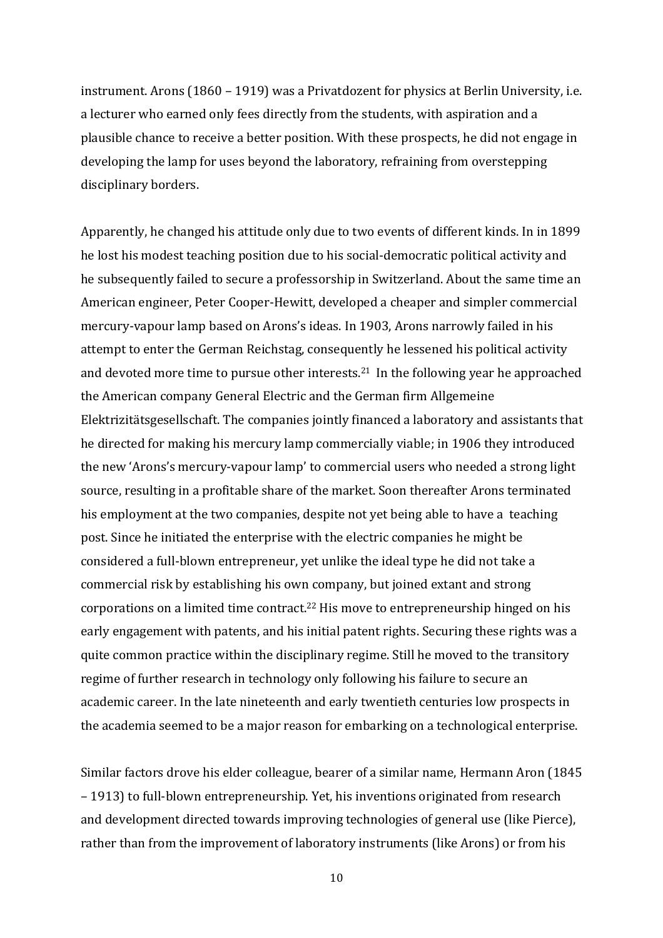instrument. Arons  $(1860 - 1919)$  was a Privatdozent for physics at Berlin University, i.e. a lecturer who earned only fees directly from the students, with aspiration and a plausible chance to receive a better position. With these prospects, he did not engage in developing the lamp for uses beyond the laboratory, refraining from overstepping disciplinary borders.

Apparently, he changed his attitude only due to two events of different kinds. In in 1899 he lost his modest teaching position due to his social-democratic political activity and he subsequently failed to secure a professorship in Switzerland. About the same time an American engineer, Peter Cooper-Hewitt, developed a cheaper and simpler commercial mercury-vapour lamp based on Arons's ideas. In 1903, Arons narrowly failed in his attempt to enter the German Reichstag, consequently he lessened his political activity and devoted more time to pursue other interests.<sup>21</sup> In the following year he approached the American company General Electric and the German firm Allgemeine Elektrizitätsgesellschaft. The companies jointly financed a laboratory and assistants that he directed for making his mercury lamp commercially viable; in 1906 they introduced the new 'Arons's mercury-vapour lamp' to commercial users who needed a strong light source, resulting in a profitable share of the market. Soon thereafter Arons terminated his employment at the two companies, despite not yet being able to have a teaching post. Since he initiated the enterprise with the electric companies he might be considered a full-blown entrepreneur, yet unlike the ideal type he did not take a commercial risk by establishing his own company, but joined extant and strong corporations on a limited time contract.<sup>22</sup> His move to entrepreneurship hinged on his early engagement with patents, and his initial patent rights. Securing these rights was a quite common practice within the disciplinary regime. Still he moved to the transitory regime of further research in technology only following his failure to secure an academic career. In the late nineteenth and early twentieth centuries low prospects in the academia seemed to be a major reason for embarking on a technological enterprise.

Similar factors drove his elder colleague, bearer of a similar name, Hermann Aron (1845) – 1913) to full-blown entrepreneurship. Yet, his inventions originated from research and development directed towards improving technologies of general use (like Pierce), rather than from the improvement of laboratory instruments (like Arons) or from his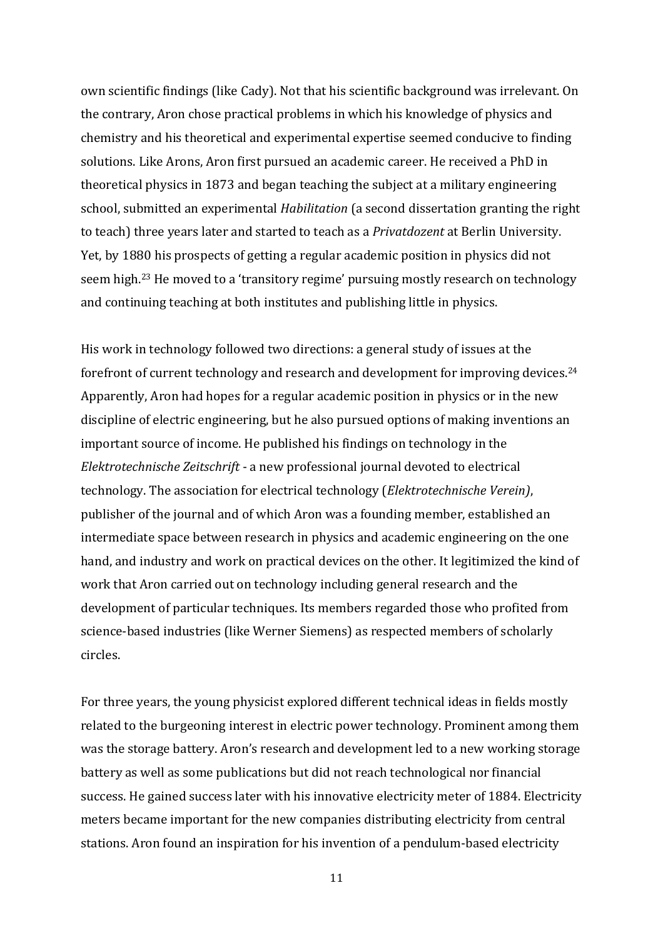own scientific findings (like Cady). Not that his scientific background was irrelevant. On the contrary, Aron chose practical problems in which his knowledge of physics and chemistry and his theoretical and experimental expertise seemed conducive to finding solutions. Like Arons, Aron first pursued an academic career. He received a PhD in theoretical physics in 1873 and began teaching the subject at a military engineering school, submitted an experimental *Habilitation* (a second dissertation granting the right to teach) three years later and started to teach as a *Privatdozent* at Berlin University. Yet, by 1880 his prospects of getting a regular academic position in physics did not seem high.<sup>23</sup> He moved to a 'transitory regime' pursuing mostly research on technology and continuing teaching at both institutes and publishing little in physics.

His work in technology followed two directions: a general study of issues at the forefront of current technology and research and development for improving devices.<sup>24</sup> Apparently, Aron had hopes for a regular academic position in physics or in the new discipline of electric engineering, but he also pursued options of making inventions an important source of income. He published his findings on technology in the *Elektrotechnische Zeitschrift* - a new professional journal devoted to electrical technology. The association for electrical technology (*Elektrotechnische Verein*), publisher of the journal and of which Aron was a founding member, established an intermediate space between research in physics and academic engineering on the one hand, and industry and work on practical devices on the other. It legitimized the kind of work that Aron carried out on technology including general research and the development of particular techniques. Its members regarded those who profited from science-based industries (like Werner Siemens) as respected members of scholarly circles. 

For three years, the young physicist explored different technical ideas in fields mostly related to the burgeoning interest in electric power technology. Prominent among them was the storage battery. Aron's research and development led to a new working storage battery as well as some publications but did not reach technological nor financial success. He gained success later with his innovative electricity meter of 1884. Electricity meters became important for the new companies distributing electricity from central stations. Aron found an inspiration for his invention of a pendulum-based electricity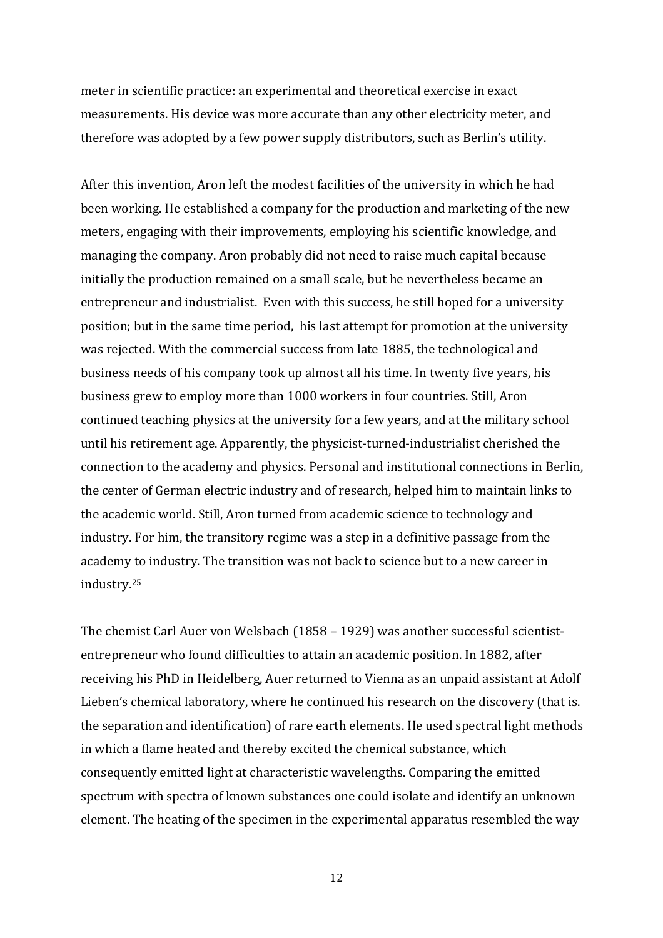meter in scientific practice: an experimental and theoretical exercise in exact measurements. His device was more accurate than any other electricity meter, and therefore was adopted by a few power supply distributors, such as Berlin's utility.

After this invention, Aron left the modest facilities of the university in which he had been working. He established a company for the production and marketing of the new meters, engaging with their improvements, employing his scientific knowledge, and managing the company. Aron probably did not need to raise much capital because initially the production remained on a small scale, but he nevertheless became an entrepreneur and industrialist. Even with this success, he still hoped for a university position; but in the same time period, his last attempt for promotion at the university was rejected. With the commercial success from late 1885, the technological and business needs of his company took up almost all his time. In twenty five years, his business grew to employ more than 1000 workers in four countries. Still, Aron continued teaching physics at the university for a few years, and at the military school until his retirement age. Apparently, the physicist-turned-industrialist cherished the connection to the academy and physics. Personal and institutional connections in Berlin, the center of German electric industry and of research, helped him to maintain links to the academic world. Still, Aron turned from academic science to technology and industry. For him, the transitory regime was a step in a definitive passage from the academy to industry. The transition was not back to science but to a new career in industry.25

The chemist Carl Auer von Welsbach (1858 – 1929) was another successful scientistentrepreneur who found difficulties to attain an academic position. In 1882, after receiving his PhD in Heidelberg, Auer returned to Vienna as an unpaid assistant at Adolf Lieben's chemical laboratory, where he continued his research on the discovery (that is. the separation and identification) of rare earth elements. He used spectral light methods in which a flame heated and thereby excited the chemical substance, which consequently emitted light at characteristic wavelengths. Comparing the emitted spectrum with spectra of known substances one could isolate and identify an unknown element. The heating of the specimen in the experimental apparatus resembled the way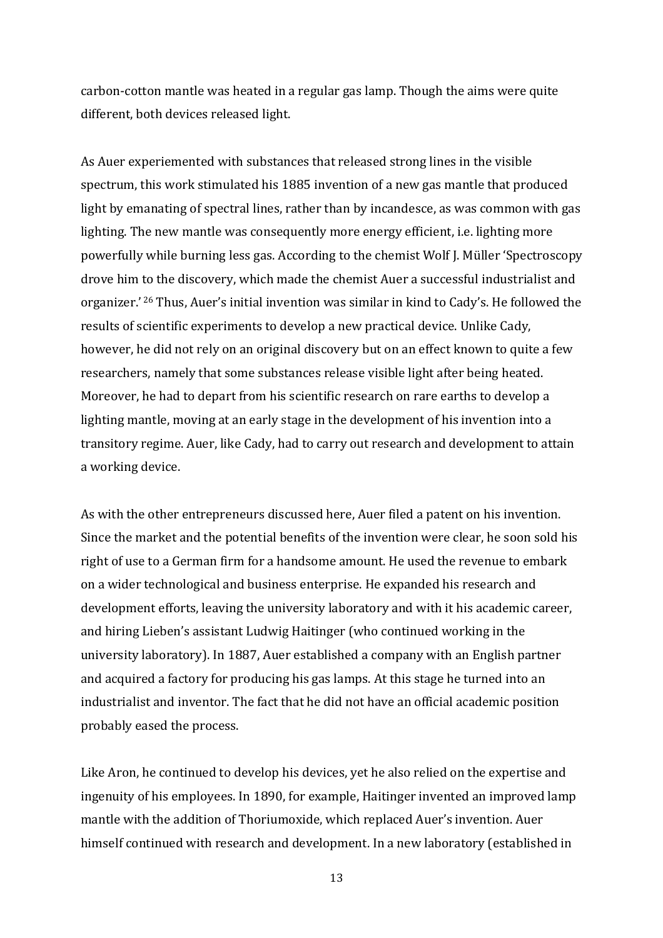carbon-cotton mantle was heated in a regular gas lamp. Though the aims were quite different, both devices released light.

As Auer experiemented with substances that released strong lines in the visible spectrum, this work stimulated his 1885 invention of a new gas mantle that produced light by emanating of spectral lines, rather than by incandesce, as was common with gas lighting. The new mantle was consequently more energy efficient, i.e. lighting more powerfully while burning less gas. According to the chemist Wolf J. Müller 'Spectroscopy drove him to the discovery, which made the chemist Auer a successful industrialist and organizer.' <sup>26</sup> Thus, Auer's initial invention was similar in kind to Cady's. He followed the results of scientific experiments to develop a new practical device. Unlike Cady, however, he did not rely on an original discovery but on an effect known to quite a few researchers, namely that some substances release visible light after being heated. Moreover, he had to depart from his scientific research on rare earths to develop a lighting mantle, moving at an early stage in the development of his invention into a transitory regime. Auer, like Cady, had to carry out research and development to attain a working device.

As with the other entrepreneurs discussed here, Auer filed a patent on his invention. Since the market and the potential benefits of the invention were clear, he soon sold his right of use to a German firm for a handsome amount. He used the revenue to embark on a wider technological and business enterprise. He expanded his research and development efforts, leaving the university laboratory and with it his academic career, and hiring Lieben's assistant Ludwig Haitinger (who continued working in the university laboratory). In 1887, Auer established a company with an English partner and acquired a factory for producing his gas lamps. At this stage he turned into an industrialist and inventor. The fact that he did not have an official academic position probably eased the process.

Like Aron, he continued to develop his devices, yet he also relied on the expertise and ingenuity of his employees. In 1890, for example, Haitinger invented an improved lamp mantle with the addition of Thoriumoxide, which replaced Auer's invention. Auer himself continued with research and development. In a new laboratory (established in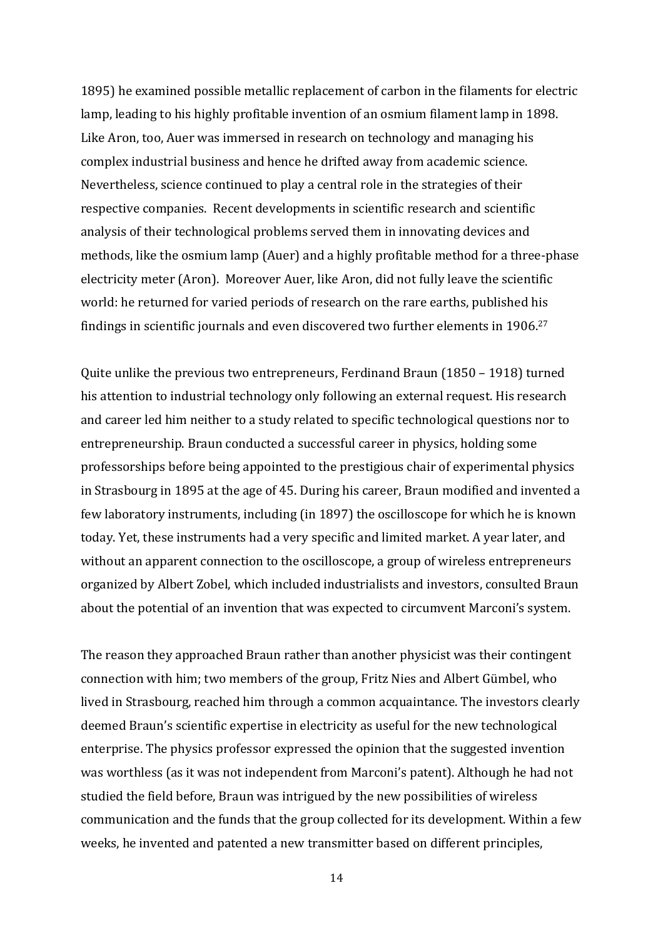1895) he examined possible metallic replacement of carbon in the filaments for electric lamp, leading to his highly profitable invention of an osmium filament lamp in 1898. Like Aron, too, Auer was immersed in research on technology and managing his complex industrial business and hence he drifted away from academic science. Nevertheless, science continued to play a central role in the strategies of their respective companies. Recent developments in scientific research and scientific analysis of their technological problems served them in innovating devices and methods, like the osmium lamp (Auer) and a highly profitable method for a three-phase electricity meter (Aron). Moreover Auer, like Aron, did not fully leave the scientific world: he returned for varied periods of research on the rare earths, published his findings in scientific journals and even discovered two further elements in 1906.<sup>27</sup>

Quite unlike the previous two entrepreneurs, Ferdinand Braun (1850 – 1918) turned his attention to industrial technology only following an external request. His research and career led him neither to a study related to specific technological questions nor to entrepreneurship. Braun conducted a successful career in physics, holding some professorships before being appointed to the prestigious chair of experimental physics in Strasbourg in 1895 at the age of 45. During his career, Braun modified and invented a few laboratory instruments, including (in 1897) the oscilloscope for which he is known today. Yet, these instruments had a very specific and limited market. A year later, and without an apparent connection to the oscilloscope, a group of wireless entrepreneurs organized by Albert Zobel, which included industrialists and investors, consulted Braun about the potential of an invention that was expected to circumvent Marconi's system.

The reason they approached Braun rather than another physicist was their contingent connection with him; two members of the group, Fritz Nies and Albert Gümbel, who lived in Strasbourg, reached him through a common acquaintance. The investors clearly deemed Braun's scientific expertise in electricity as useful for the new technological enterprise. The physics professor expressed the opinion that the suggested invention was worthless (as it was not independent from Marconi's patent). Although he had not studied the field before, Braun was intrigued by the new possibilities of wireless communication and the funds that the group collected for its development. Within a few weeks, he invented and patented a new transmitter based on different principles,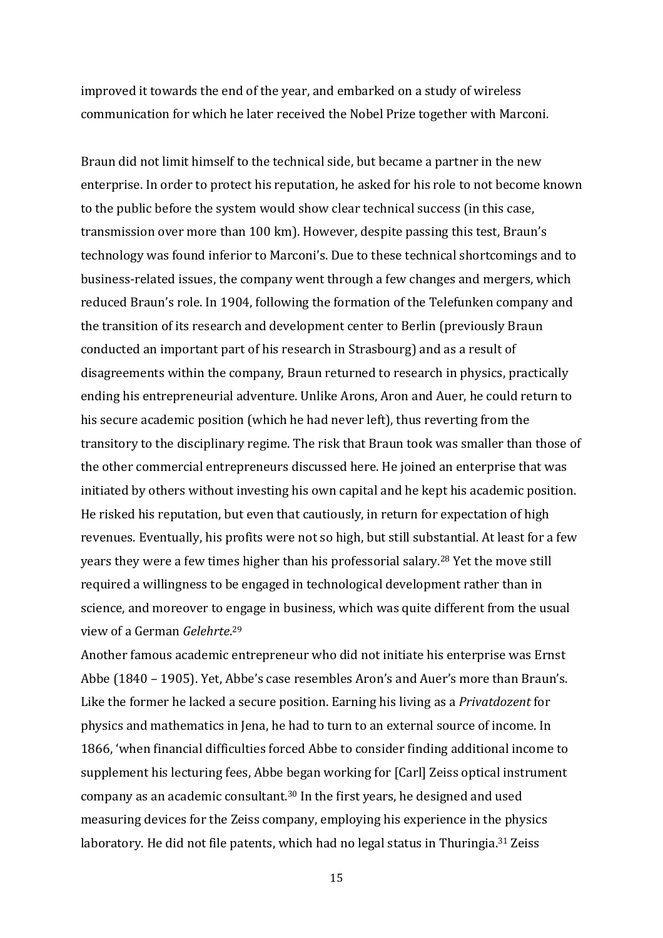improved it towards the end of the year, and embarked on a study of wireless communication for which he later received the Nobel Prize together with Marconi.

Braun did not limit himself to the technical side, but became a partner in the new enterprise. In order to protect his reputation, he asked for his role to not become known to the public before the system would show clear technical success (in this case, transmission over more than 100 km). However, despite passing this test, Braun's technology was found inferior to Marconi's. Due to these technical shortcomings and to business-related issues, the company went through a few changes and mergers, which reduced Braun's role. In 1904, following the formation of the Telefunken company and the transition of its research and development center to Berlin (previously Braun conducted an important part of his research in Strasbourg) and as a result of disagreements within the company, Braun returned to research in physics, practically ending his entrepreneurial adventure. Unlike Arons, Aron and Auer, he could return to his secure academic position (which he had never left), thus reverting from the transitory to the disciplinary regime. The risk that Braun took was smaller than those of the other commercial entrepreneurs discussed here. He joined an enterprise that was initiated by others without investing his own capital and he kept his academic position. He risked his reputation, but even that cautiously, in return for expectation of high revenues. Eventually, his profits were not so high, but still substantial. At least for a few years they were a few times higher than his professorial salary.<sup>28</sup> Yet the move still required a willingness to be engaged in technological development rather than in science, and moreover to engage in business, which was quite different from the usual view of a German *Gelehrte*. 29

Another famous academic entrepreneur who did not initiate his enterprise was Ernst Abbe  $(1840 - 1905)$ . Yet, Abbe's case resembles Aron's and Auer's more than Braun's. Like the former he lacked a secure position. Earning his living as a *Privatdozent* for physics and mathematics in Jena, he had to turn to an external source of income. In 1866, 'when financial difficulties forced Abbe to consider finding additional income to supplement his lecturing fees, Abbe began working for [Carl] Zeiss optical instrument company as an academic consultant.<sup>30</sup> In the first years, he designed and used measuring devices for the Zeiss company, employing his experience in the physics laboratory. He did not file patents, which had no legal status in Thuringia.<sup>31</sup> Zeiss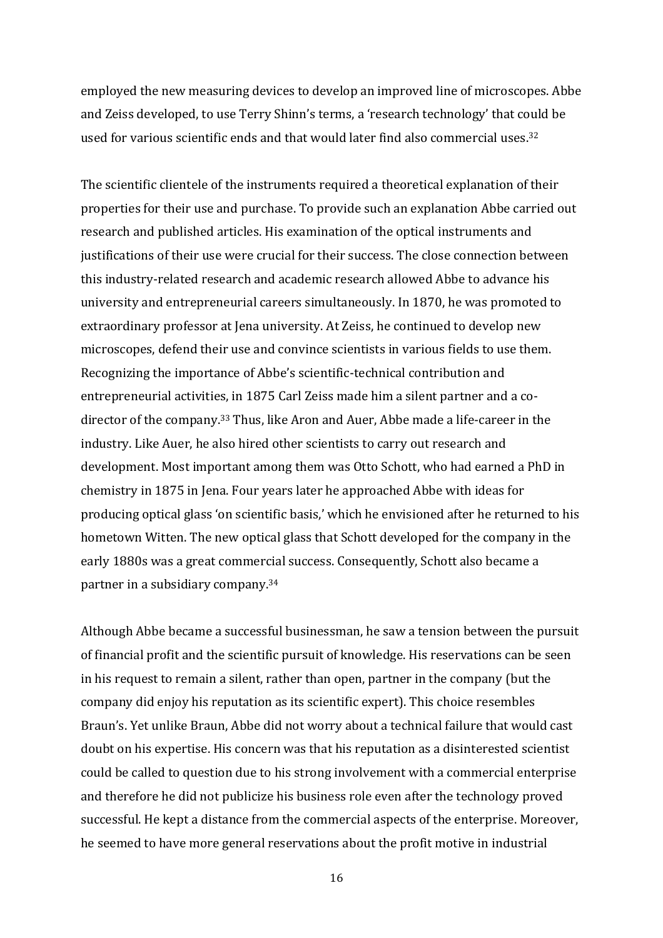employed the new measuring devices to develop an improved line of microscopes. Abbe and Zeiss developed, to use Terry Shinn's terms, a 'research technology' that could be used for various scientific ends and that would later find also commercial uses.<sup>32</sup>

The scientific clientele of the instruments required a theoretical explanation of their properties for their use and purchase. To provide such an explanation Abbe carried out research and published articles. His examination of the optical instruments and justifications of their use were crucial for their success. The close connection between this industry-related research and academic research allowed Abbe to advance his university and entrepreneurial careers simultaneously. In 1870, he was promoted to extraordinary professor at Jena university. At Zeiss, he continued to develop new microscopes, defend their use and convince scientists in various fields to use them. Recognizing the importance of Abbe's scientific-technical contribution and entrepreneurial activities, in 1875 Carl Zeiss made him a silent partner and a codirector of the company.<sup>33</sup> Thus, like Aron and Auer, Abbe made a life-career in the industry. Like Auer, he also hired other scientists to carry out research and development. Most important among them was Otto Schott, who had earned a PhD in chemistry in 1875 in Jena. Four years later he approached Abbe with ideas for producing optical glass 'on scientific basis,' which he envisioned after he returned to his hometown Witten. The new optical glass that Schott developed for the company in the early 1880s was a great commercial success. Consequently, Schott also became a partner in a subsidiary company.<sup>34</sup>

Although Abbe became a successful businessman, he saw a tension between the pursuit of financial profit and the scientific pursuit of knowledge. His reservations can be seen in his request to remain a silent, rather than open, partner in the company (but the company did enjoy his reputation as its scientific expert). This choice resembles Braun's. Yet unlike Braun, Abbe did not worry about a technical failure that would cast doubt on his expertise. His concern was that his reputation as a disinterested scientist could be called to question due to his strong involvement with a commercial enterprise and therefore he did not publicize his business role even after the technology proved successful. He kept a distance from the commercial aspects of the enterprise. Moreover, he seemed to have more general reservations about the profit motive in industrial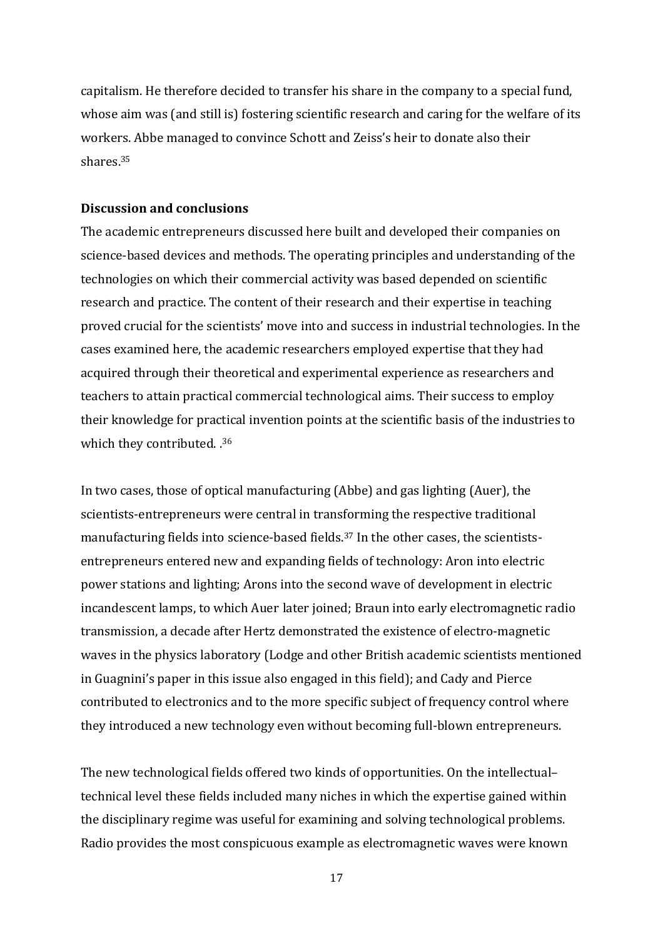capitalism. He therefore decided to transfer his share in the company to a special fund, whose aim was (and still is) fostering scientific research and caring for the welfare of its workers. Abbe managed to convince Schott and Zeiss's heir to donate also their shares.35

## **Discussion and conclusions**

The academic entrepreneurs discussed here built and developed their companies on science-based devices and methods. The operating principles and understanding of the technologies on which their commercial activity was based depended on scientific research and practice. The content of their research and their expertise in teaching proved crucial for the scientists' move into and success in industrial technologies. In the cases examined here, the academic researchers employed expertise that they had acquired through their theoretical and experimental experience as researchers and teachers to attain practical commercial technological aims. Their success to employ their knowledge for practical invention points at the scientific basis of the industries to which they contributed. . 36

In two cases, those of optical manufacturing (Abbe) and gas lighting (Auer), the scientists-entrepreneurs were central in transforming the respective traditional manufacturing fields into science-based fields.<sup>37</sup> In the other cases, the scientistsentrepreneurs entered new and expanding fields of technology: Aron into electric power stations and lighting; Arons into the second wave of development in electric incandescent lamps, to which Auer later joined; Braun into early electromagnetic radio transmission, a decade after Hertz demonstrated the existence of electro-magnetic waves in the physics laboratory (Lodge and other British academic scientists mentioned in Guagnini's paper in this issue also engaged in this field); and Cady and Pierce contributed to electronics and to the more specific subject of frequency control where they introduced a new technology even without becoming full-blown entrepreneurs.

The new technological fields offered two kinds of opportunities. On the intellectualtechnical level these fields included many niches in which the expertise gained within the disciplinary regime was useful for examining and solving technological problems. Radio provides the most conspicuous example as electromagnetic waves were known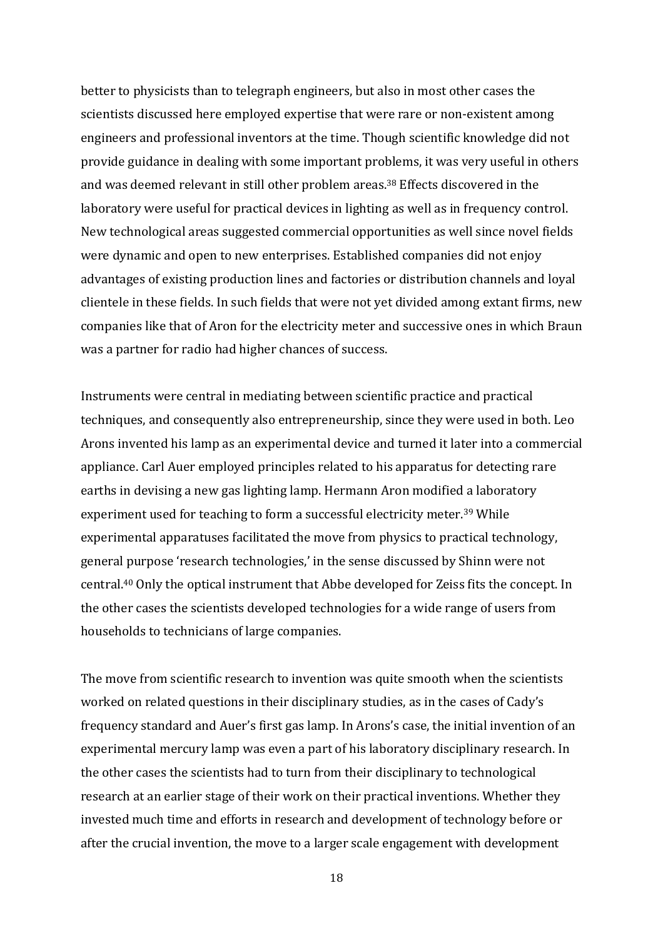better to physicists than to telegraph engineers, but also in most other cases the scientists discussed here employed expertise that were rare or non-existent among engineers and professional inventors at the time. Though scientific knowledge did not provide guidance in dealing with some important problems, it was very useful in others and was deemed relevant in still other problem areas.<sup>38</sup> Effects discovered in the laboratory were useful for practical devices in lighting as well as in frequency control. New technological areas suggested commercial opportunities as well since novel fields were dynamic and open to new enterprises. Established companies did not enjoy advantages of existing production lines and factories or distribution channels and loyal clientele in these fields. In such fields that were not yet divided among extant firms, new companies like that of Aron for the electricity meter and successive ones in which Braun was a partner for radio had higher chances of success.

Instruments were central in mediating between scientific practice and practical techniques, and consequently also entrepreneurship, since they were used in both. Leo Arons invented his lamp as an experimental device and turned it later into a commercial appliance. Carl Auer employed principles related to his apparatus for detecting rare earths in devising a new gas lighting lamp. Hermann Aron modified a laboratory experiment used for teaching to form a successful electricity meter.<sup>39</sup> While experimental apparatuses facilitated the move from physics to practical technology, general purpose 'research technologies,' in the sense discussed by Shinn were not central.<sup>40</sup> Only the optical instrument that Abbe developed for Zeiss fits the concept. In the other cases the scientists developed technologies for a wide range of users from households to technicians of large companies.

The move from scientific research to invention was quite smooth when the scientists worked on related questions in their disciplinary studies, as in the cases of Cady's frequency standard and Auer's first gas lamp. In Arons's case, the initial invention of an experimental mercury lamp was even a part of his laboratory disciplinary research. In the other cases the scientists had to turn from their disciplinary to technological research at an earlier stage of their work on their practical inventions. Whether they invested much time and efforts in research and development of technology before or after the crucial invention, the move to a larger scale engagement with development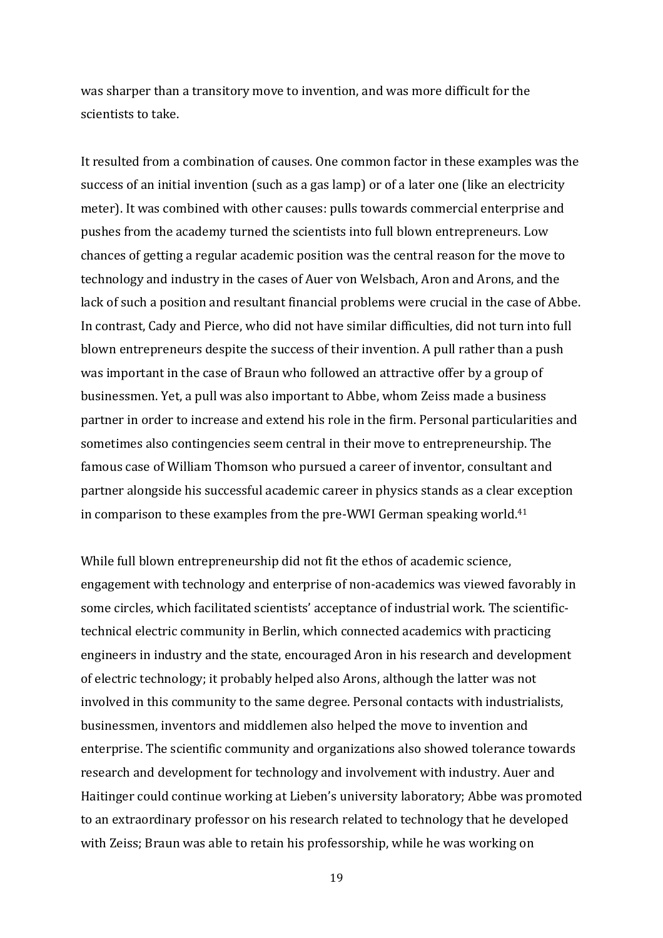was sharper than a transitory move to invention, and was more difficult for the scientists to take.

It resulted from a combination of causes. One common factor in these examples was the success of an initial invention (such as a gas lamp) or of a later one (like an electricity meter). It was combined with other causes: pulls towards commercial enterprise and pushes from the academy turned the scientists into full blown entrepreneurs. Low chances of getting a regular academic position was the central reason for the move to technology and industry in the cases of Auer von Welsbach, Aron and Arons, and the lack of such a position and resultant financial problems were crucial in the case of Abbe. In contrast, Cady and Pierce, who did not have similar difficulties, did not turn into full blown entrepreneurs despite the success of their invention. A pull rather than a push was important in the case of Braun who followed an attractive offer by a group of businessmen. Yet, a pull was also important to Abbe, whom Zeiss made a business partner in order to increase and extend his role in the firm. Personal particularities and sometimes also contingencies seem central in their move to entrepreneurship. The famous case of William Thomson who pursued a career of inventor, consultant and partner alongside his successful academic career in physics stands as a clear exception in comparison to these examples from the pre-WWI German speaking world. $41$ 

While full blown entrepreneurship did not fit the ethos of academic science, engagement with technology and enterprise of non-academics was viewed favorably in some circles, which facilitated scientists' acceptance of industrial work. The scientifictechnical electric community in Berlin, which connected academics with practicing engineers in industry and the state, encouraged Aron in his research and development of electric technology; it probably helped also Arons, although the latter was not involved in this community to the same degree. Personal contacts with industrialists, businessmen, inventors and middlemen also helped the move to invention and enterprise. The scientific community and organizations also showed tolerance towards research and development for technology and involvement with industry. Auer and Haitinger could continue working at Lieben's university laboratory; Abbe was promoted to an extraordinary professor on his research related to technology that he developed with Zeiss; Braun was able to retain his professorship, while he was working on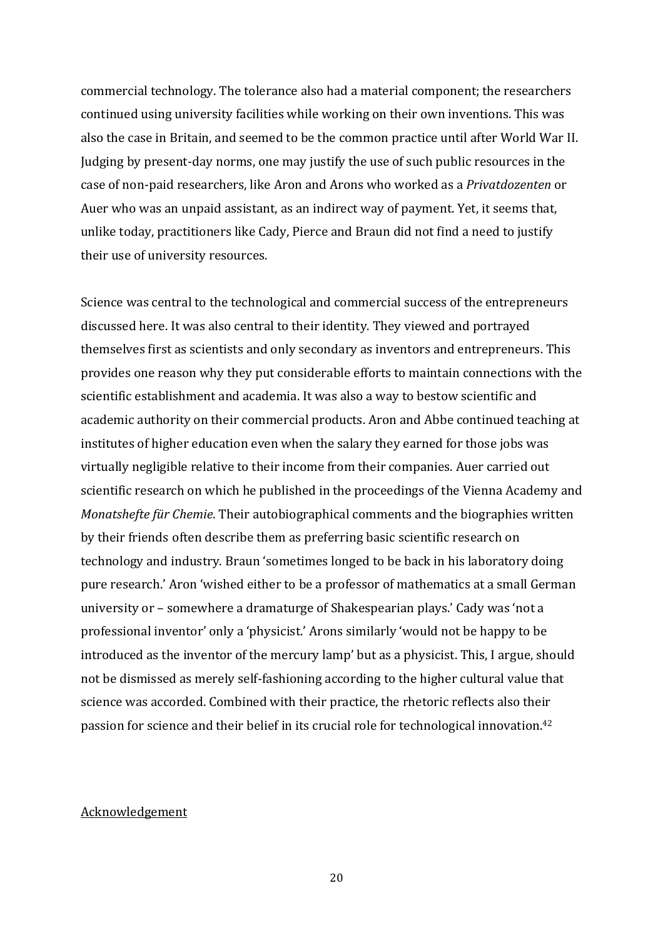commercial technology. The tolerance also had a material component; the researchers continued using university facilities while working on their own inventions. This was also the case in Britain, and seemed to be the common practice until after World War II. Judging by present-day norms, one may justify the use of such public resources in the case of non-paid researchers, like Aron and Arons who worked as a *Privatdozenten* or Auer who was an unpaid assistant, as an indirect way of payment. Yet, it seems that, unlike today, practitioners like Cady, Pierce and Braun did not find a need to justify their use of university resources.

Science was central to the technological and commercial success of the entrepreneurs discussed here. It was also central to their identity. They viewed and portrayed themselves first as scientists and only secondary as inventors and entrepreneurs. This provides one reason why they put considerable efforts to maintain connections with the scientific establishment and academia. It was also a way to bestow scientific and academic authority on their commercial products. Aron and Abbe continued teaching at institutes of higher education even when the salary they earned for those jobs was virtually negligible relative to their income from their companies. Auer carried out scientific research on which he published in the proceedings of the Vienna Academy and *Monatshefte für Chemie*. Their autobiographical comments and the biographies written by their friends often describe them as preferring basic scientific research on technology and industry. Braun 'sometimes longed to be back in his laboratory doing pure research.' Aron 'wished either to be a professor of mathematics at a small German university or – somewhere a dramaturge of Shakespearian plays.' Cady was 'not a professional inventor' only a 'physicist.' Arons similarly 'would not be happy to be introduced as the inventor of the mercury lamp' but as a physicist. This, I argue, should not be dismissed as merely self-fashioning according to the higher cultural value that science was accorded. Combined with their practice, the rhetoric reflects also their passion for science and their belief in its crucial role for technological innovation.<sup>42</sup>

# Acknowledgement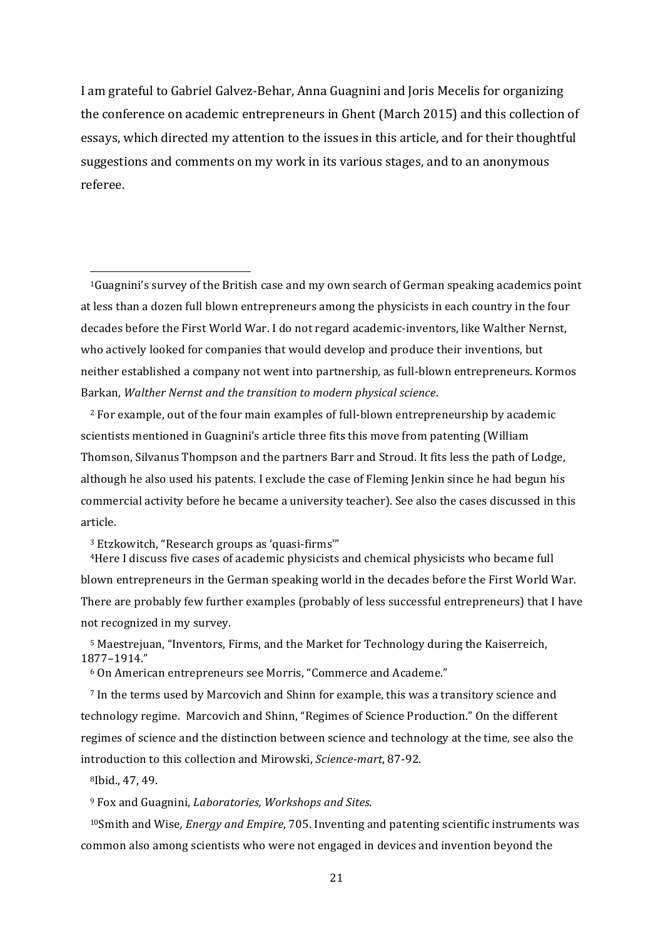I am grateful to Gabriel Galvez-Behar, Anna Guagnini and Joris Mecelis for organizing the conference on academic entrepreneurs in Ghent (March 2015) and this collection of essays, which directed my attention to the issues in this article, and for their thoughtful suggestions and comments on my work in its various stages, and to an anonymous referee. 

 $1$ Guagnini's survey of the British case and my own search of German speaking academics point at less than a dozen full blown entrepreneurs among the physicists in each country in the four decades before the First World War. I do not regard academic-inventors, like Walther Nernst, who actively looked for companies that would develop and produce their inventions, but neither established a company not went into partnership, as full-blown entrepreneurs. Kormos Barkan, *Walther Nernst and the transition to modern physical science.* 

<sup>2</sup> For example, out of the four main examples of full-blown entrepreneurship by academic scientists mentioned in Guagnini's article three fits this move from patenting (William Thomson, Silvanus Thompson and the partners Barr and Stroud. It fits less the path of Lodge, although he also used his patents. I exclude the case of Fleming Jenkin since he had begun his commercial activity before he became a university teacher). See also the cases discussed in this article.

<sup>3</sup> Etzkowitch, "Research groups as 'quasi-firms'"

<u> 1989 - Johann Stein, marwolaethau a bh</u>

<sup>4</sup>Here I discuss five cases of academic physicists and chemical physicists who became full blown entrepreneurs in the German speaking world in the decades before the First World War. There are probably few further examples (probably of less successful entrepreneurs) that I have not recognized in my survey.

 $5$  Maestrejuan, "Inventors, Firms, and the Market for Technology during the Kaiserreich, 1877–1914."

<sup>6</sup> On American entrepreneurs see Morris, "Commerce and Academe."

<sup>7</sup> In the terms used by Marcovich and Shinn for example, this was a transitory science and technology regime. Marcovich and Shinn, "Regimes of Science Production." On the different regimes of science and the distinction between science and technology at the time, see also the introduction to this collection and Mirowski, *Science-mart*, 87-92.

8Ibid., 47, 49.

<sup>9</sup> Fox and Guagnini, *Laboratories, Workshops and Sites.*

<sup>10</sup>Smith and Wise, *Energy and Empire*, 705. Inventing and patenting scientific instruments was common also among scientists who were not engaged in devices and invention beyond the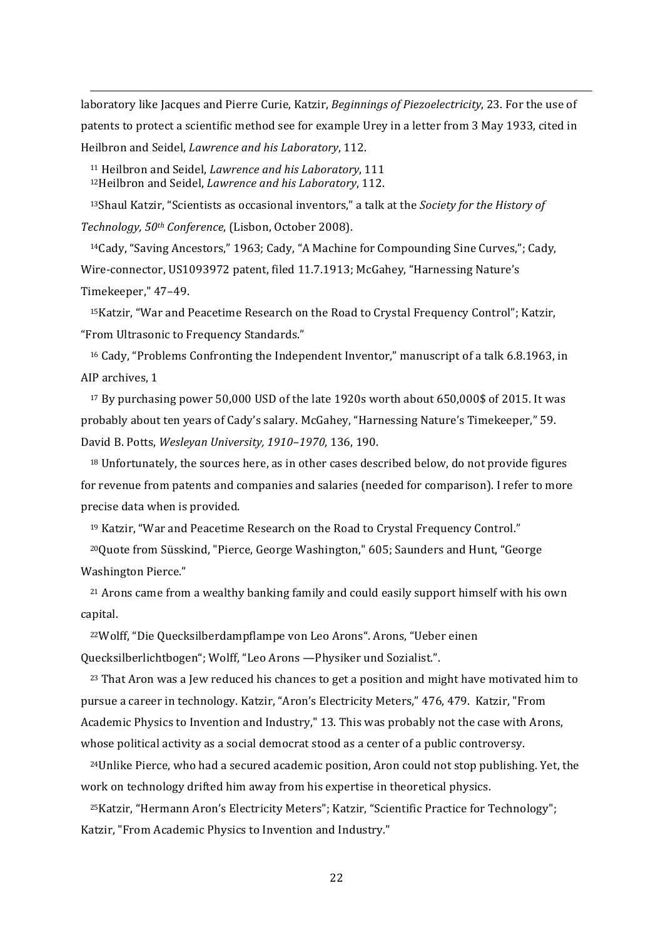laboratory like Jacques and Pierre Curie, Katzir, *Beginnings of Piezoelectricity*, 23. For the use of patents to protect a scientific method see for example Urey in a letter from 3 May 1933, cited in Heilbron and Seidel, *Lawrence and his Laboratory*, 112.

 

<sup>11</sup> Heilbron and Seidel, *Lawrence and his Laboratory*, 111 <sup>12</sup>Heilbron and Seidel, *Lawrence and his Laboratory*, 112.

<sup>13</sup>Shaul Katzir, "Scientists as occasional inventors," a talk at the *Society for the History of Technology, 50th Conference*, (Lisbon, October 2008). 

 $14$ Cady, "Saving Ancestors," 1963; Cady, "A Machine for Compounding Sine Curves,"; Cady, Wire-connector, US1093972 patent, filed 11.7.1913; McGahey, "Harnessing Nature's Timekeeper," 47–49.

 $15$ Katzir, "War and Peacetime Research on the Road to Crystal Frequency Control"; Katzir, "From Ultrasonic to Frequency Standards."

<sup>16</sup> Cady, "Problems Confronting the Independent Inventor," manuscript of a talk  $6.8.1963$ , in AIP archives, 1

 $17$  By purchasing power 50,000 USD of the late 1920s worth about 650,000\$ of 2015. It was probably about ten years of Cady's salary. McGahey, "Harnessing Nature's Timekeeper," 59. David B. Potts, *Wesleyan University, 1910–1970*, 136, 190.

 $18$  Unfortunately, the sources here, as in other cases described below, do not provide figures for revenue from patents and companies and salaries (needed for comparison). I refer to more precise data when is provided.

<sup>19</sup> Katzir, "War and Peacetime Research on the Road to Crystal Frequency Control."

 $20$ Quote from Süsskind, "Pierce, George Washington," 605; Saunders and Hunt, "George Washington Pierce."

 $21$  Arons came from a wealthy banking family and could easily support himself with his own capital. 

<sup>22</sup>Wolff, "Die Quecksilberdampflampe von Leo Arons". Arons, "Ueber einen Quecksilberlichtbogen"; Wolff, "Leo Arons - Physiker und Sozialist.".

 $23$  That Aron was a Jew reduced his chances to get a position and might have motivated him to pursue a career in technology. Katzir, "Aron's Electricity Meters," 476, 479. Katzir, "From Academic Physics to Invention and Industry," 13. This was probably not the case with Arons, whose political activity as a social democrat stood as a center of a public controversy.

 $^{24}$ Unlike Pierce, who had a secured academic position, Aron could not stop publishing. Yet, the work on technology drifted him away from his expertise in theoretical physics.

<sup>25</sup>Katzir, "Hermann Aron's Electricity Meters"; Katzir, "Scientific Practice for Technology"; Katzir, "From Academic Physics to Invention and Industry."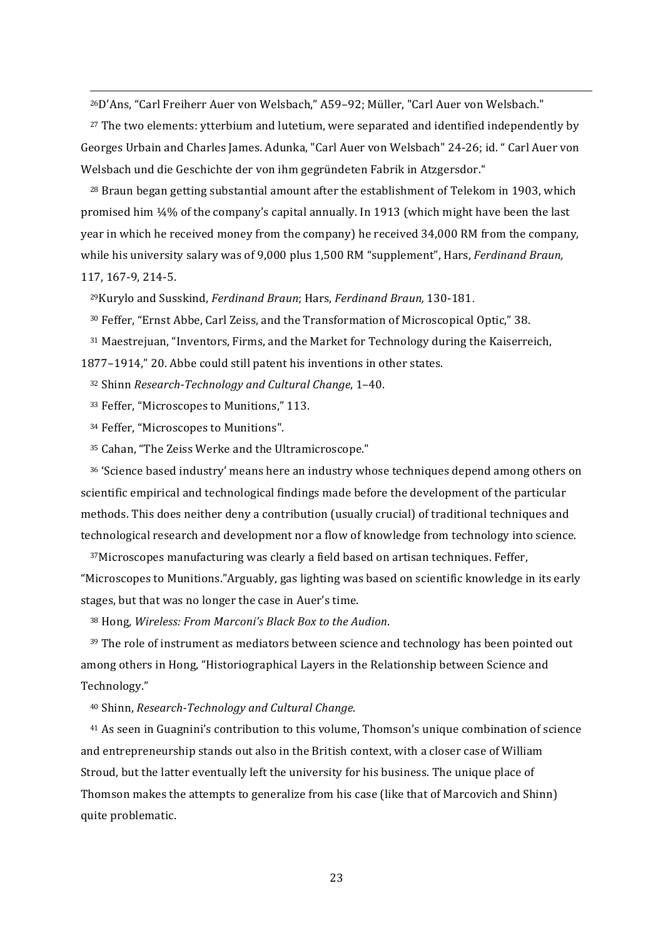<sup>26</sup>D'Ans, "Carl Freiherr Auer von Welsbach," A59-92; Müller, "Carl Auer von Welsbach."

 $27$  The two elements: ytterbium and lutetium, were separated and identified independently by Georges Urbain and Charles James. Adunka, "Carl Auer von Welsbach" 24-26; id. " Carl Auer von Welsbach und die Geschichte der von ihm gegründeten Fabrik in Atzgersdor."

 

 $^{28}$  Braun began getting substantial amount after the establishment of Telekom in 1903, which promised him 1/4% of the company's capital annually. In 1913 (which might have been the last year in which he received money from the company) he received 34,000 RM from the company, while his university salary was of 9,000 plus 1,500 RM "supplement", Hars, *Ferdinand Braun*, 117, 167-9, 214-5. 

<sup>29</sup>Kurylo and Susskind, *Ferdinand Braun*; Hars, *Ferdinand Braun*, 130-181.

30 Feffer, "Ernst Abbe, Carl Zeiss, and the Transformation of Microscopical Optic," 38.

<sup>31</sup> Maestrejuan, "Inventors, Firms, and the Market for Technology during the Kaiserreich,

1877-1914," 20. Abbe could still patent his inventions in other states.

<sup>32</sup> Shinn *Research-Technology and Cultural Change*, 1–40.

33 Feffer, "Microscopes to Munitions," 113.

<sup>34</sup> Feffer, "Microscopes to Munitions".

35 Cahan, "The Zeiss Werke and the Ultramicroscope."

36 'Science based industry' means here an industry whose techniques depend among others on scientific empirical and technological findings made before the development of the particular methods. This does neither deny a contribution (usually crucial) of traditional techniques and technological research and development nor a flow of knowledge from technology into science.

<sup>37</sup>Microscopes manufacturing was clearly a field based on artisan techniques. Feffer, "Microscopes to Munitions."Arguably, gas lighting was based on scientific knowledge in its early stages, but that was no longer the case in Auer's time.

38 Hong, Wireless: From Marconi's Black Box to the Audion.

 $39$  The role of instrument as mediators between science and technology has been pointed out among others in Hong, "Historiographical Layers in the Relationship between Science and Technology."

<sup>40</sup> Shinn, *Research-Technology and Cultural Change*.

<sup>41</sup> As seen in Guagnini's contribution to this volume, Thomson's unique combination of science and entrepreneurship stands out also in the British context, with a closer case of William Stroud, but the latter eventually left the university for his business. The unique place of Thomson makes the attempts to generalize from his case (like that of Marcovich and Shinn) quite problematic.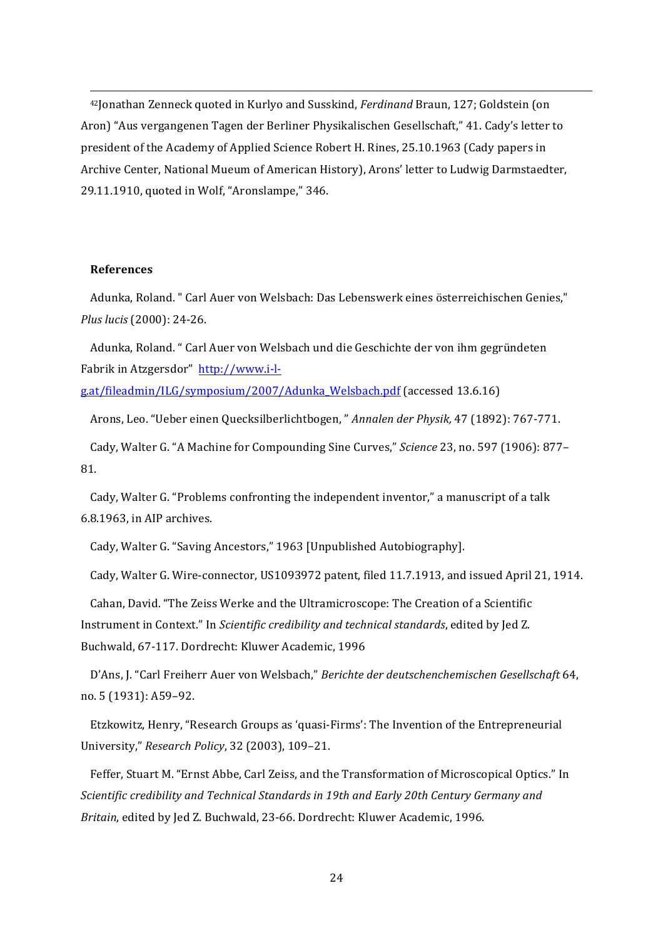<sup>42</sup>Jonathan Zenneck quoted in Kurlyo and Susskind, *Ferdinand* Braun, 127; Goldstein (on Aron) "Aus vergangenen Tagen der Berliner Physikalischen Gesellschaft," 41. Cady's letter to president of the Academy of Applied Science Robert H. Rines, 25.10.1963 (Cady papers in Archive Center, National Mueum of American History), Arons' letter to Ludwig Darmstaedter. 29.11.1910, quoted in Wolf, "Aronslampe," 346.

 

#### **References**

Adunka, Roland. " Carl Auer von Welsbach: Das Lebenswerk eines österreichischen Genies," *Plus lucis* (2000): 24-26. 

Adunka, Roland. " Carl Auer von Welsbach und die Geschichte der von ihm gegründeten Fabrik in Atzgersdor" http://www.i-l-

g.at/fileadmin/ILG/symposium/2007/Adunka\_Welsbach.pdf (accessed 13.6.16)

Arons, Leo. "Ueber einen Quecksilberlichtbogen, " *Annalen der Physik*, 47 (1892): 767-771.

Cady, Walter G. "A Machine for Compounding Sine Curves." *Science* 23, no. 597 (1906): 877– 81.

Cady, Walter G. "Problems confronting the independent inventor," a manuscript of a talk 6.8.1963, in AIP archives.

Cady, Walter G. "Saving Ancestors," 1963 [Unpublished Autobiography].

Cady, Walter G. Wire-connector, US1093972 patent, filed 11.7.1913, and issued April 21, 1914.

Cahan, David. "The Zeiss Werke and the Ultramicroscope: The Creation of a Scientific Instrument in Context." In *Scientific credibility and technical standards*, edited by Jed Z. Buchwald, 67-117. Dordrecht: Kluwer Academic, 1996

D'Ans, J. "Carl Freiherr Auer von Welsbach," Berichte der deutschenchemischen Gesellschaft 64, no. 5 (1931): A59-92.

Etzkowitz, Henry, "Research Groups as 'quasi-Firms': The Invention of the Entrepreneurial University," *Research Policy*, 32 (2003), 109–21.

Feffer, Stuart M. "Ernst Abbe, Carl Zeiss, and the Transformation of Microscopical Optics." In Scientific credibility and Technical Standards in 19th and Early 20th Century Germany and *Britain*, edited by Jed Z. Buchwald, 23-66. Dordrecht: Kluwer Academic, 1996.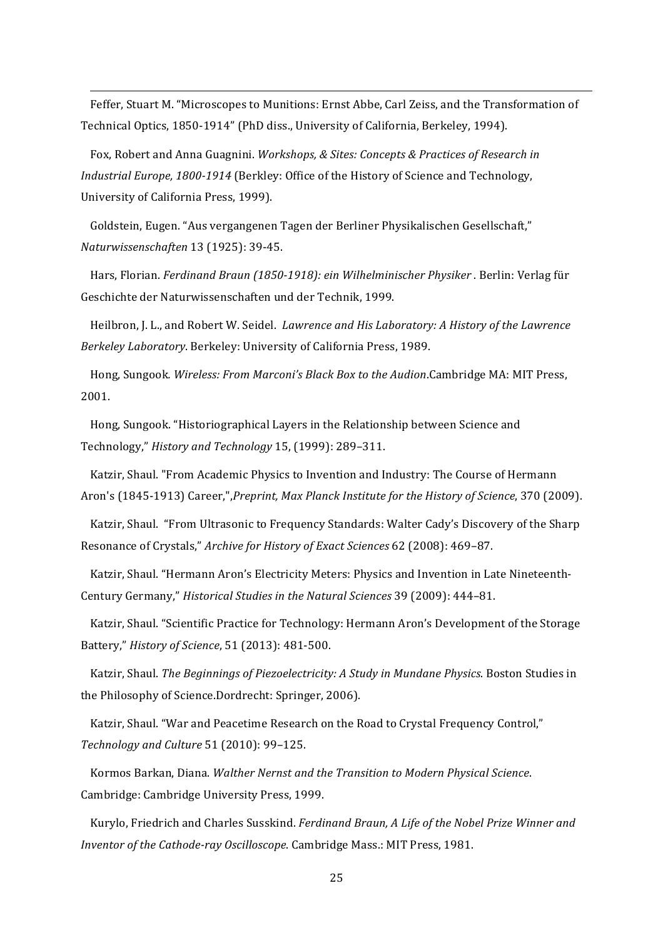Feffer, Stuart M. "Microscopes to Munitions: Ernst Abbe, Carl Zeiss, and the Transformation of Technical Optics, 1850-1914" (PhD diss., University of California, Berkeley, 1994).

 

Fox, Robert and Anna Guagnini. *Workshops, & Sites: Concepts & Practices of Research in Industrial Europe, 1800-1914* (Berkley: Office of the History of Science and Technology, University of California Press, 1999).

Goldstein, Eugen. "Aus vergangenen Tagen der Berliner Physikalischen Gesellschaft," *Naturwissenschaften* 13 (1925): 39-45.

Hars, Florian. *Ferdinand Braun (1850-1918): ein Wilhelminischer Physiker* . Berlin: Verlag für Geschichte der Naturwissenschaften und der Technik, 1999.

Heilbron, J. L., and Robert W. Seidel. *Lawrence and His Laboratory: A History of the Lawrence Berkeley Laboratory*. Berkeley: University of California Press, 1989.

Hong, Sungook. Wireless: From Marconi's Black Box to the Audion.Cambridge MA: MIT Press, 2001.

Hong, Sungook. "Historiographical Lavers in the Relationship between Science and Technology," *History and Technology* 15, (1999): 289-311.

Katzir, Shaul. "From Academic Physics to Invention and Industry: The Course of Hermann Aron's (1845-1913) Career,",*Preprint, Max Planck Institute for the History of Science*, 370 (2009).

Katzir, Shaul. "From Ultrasonic to Frequency Standards: Walter Cady's Discovery of the Sharp Resonance of Crystals," Archive for History of Exact Sciences 62 (2008): 469-87.

Katzir, Shaul. "Hermann Aron's Electricity Meters: Physics and Invention in Late Nineteenth-Century Germany," *Historical Studies in the Natural Sciences* 39 (2009): 444-81.

Katzir, Shaul. "Scientific Practice for Technology: Hermann Aron's Development of the Storage Battery," *History of Science*, 51 (2013): 481-500.

Katzir, Shaul. The Beginnings of Piezoelectricity: A Study in Mundane Physics. Boston Studies in the Philosophy of Science.Dordrecht: Springer, 2006).

Katzir, Shaul. "War and Peacetime Research on the Road to Crystal Frequency Control," *Technology and Culture* 51 (2010): 99–125.

Kormos Barkan, Diana. *Walther Nernst and the Transition to Modern Physical Science*. Cambridge: Cambridge University Press, 1999.

Kurylo, Friedrich and Charles Susskind. *Ferdinand Braun, A Life of the Nobel Prize Winner and Inventor of the Cathode-ray Oscilloscope*. Cambridge Mass.: MIT Press, 1981.